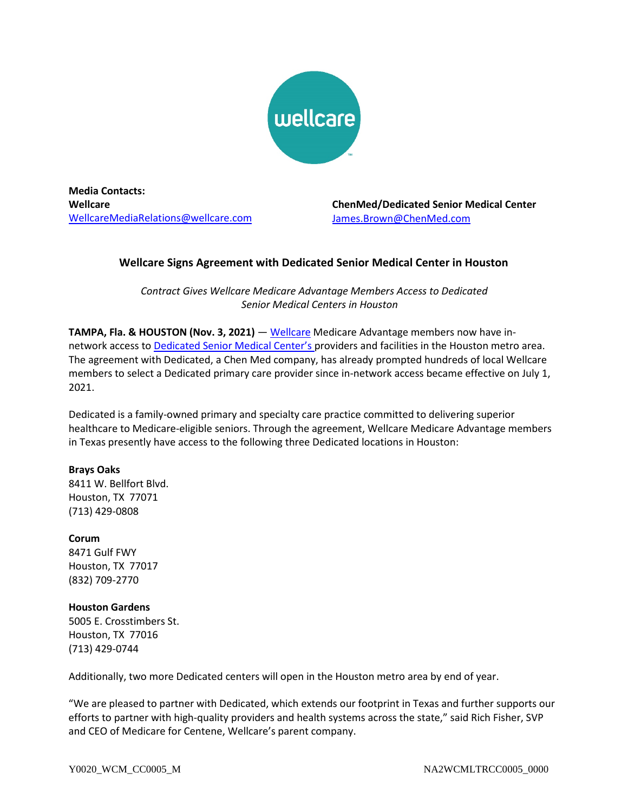

**Media Contacts: Wellcare** [WellcareMediaRelations@wellcare.com](mailto:WellcareMediaRelations@wellcare.com)

**ChenMed/Dedicated Senior Medical Center** James.Brown@ChenMed.com

## **Wellcare Signs Agreement with Dedicated Senior Medical Center in Houston**

*Contract Gives Wellcare Medicare Advantage Members Access to Dedicated Senior Medical Centers in Houston*

**TAMPA, Fla. & HOUSTON (Nov. 3, 2021)** — [Wellcare](http://www.wellcare.com/) Medicare Advantage members now have in-network access to [Dedicated Senior Medical Center's](https://www.dedicated.care/) providers and facilities in the Houston metro area. The agreement with Dedicated, a Chen Med company, has already prompted hundreds of local Wellcare members to select a Dedicated primary care provider since in-network access became effective on July 1, 2021.

Dedicated is a family-owned primary and specialty care practice committed to delivering superior healthcare to Medicare-eligible seniors. Through the agreement, Wellcare Medicare Advantage members in Texas presently have access to the following three Dedicated locations in Houston:

### **Brays Oaks**

8411 W. Bellfort Blvd. Houston, TX 77071 (713) 429-0808

# **Corum**

8471 Gulf FWY Houston, TX 77017 (832) 709-2770

## **Houston Gardens**

5005 E. Crosstimbers St. Houston, TX 77016 (713) 429-0744

Additionally, two more Dedicated centers will open in the Houston metro area by end of year.

"We are pleased to partner with Dedicated, which extends our footprint in Texas and further supports our efforts to partner with high-quality providers and health systems across the state," said Rich Fisher, SVP and CEO of Medicare for Centene, Wellcare's parent company.